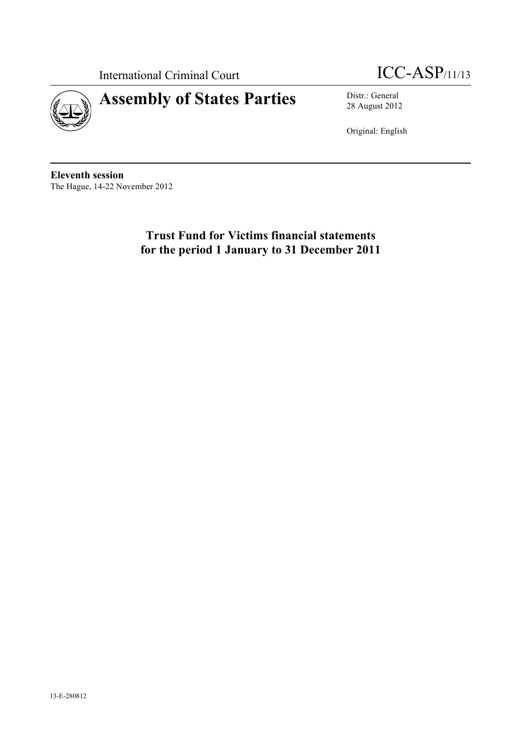

International Criminal Court **ICC-ASP**/11/13

28 August 2012

Original: English

**Eleventh session** The Hague, 14-22 November 2012

> **Trust Fund for Victims financial statements for the period 1 January to 31 December 2011**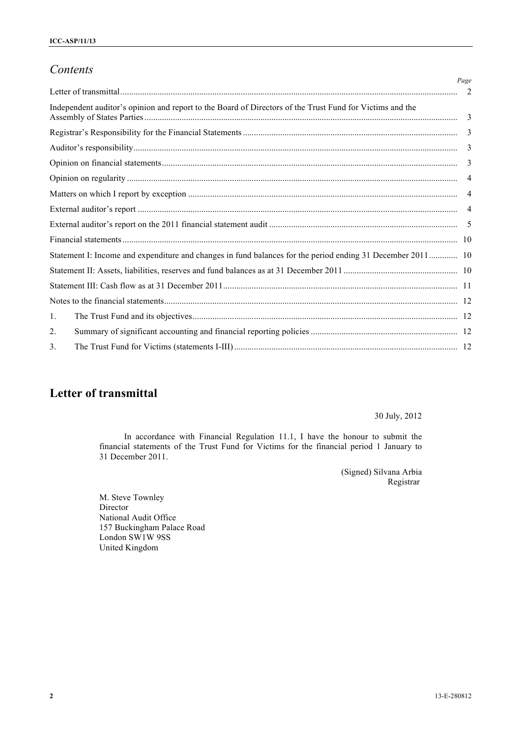## *Contents*

|                                                                                                            | Page           |
|------------------------------------------------------------------------------------------------------------|----------------|
|                                                                                                            |                |
| Independent auditor's opinion and report to the Board of Directors of the Trust Fund for Victims and the   |                |
|                                                                                                            |                |
|                                                                                                            |                |
|                                                                                                            | 3              |
|                                                                                                            | $\overline{4}$ |
|                                                                                                            |                |
|                                                                                                            |                |
|                                                                                                            |                |
|                                                                                                            |                |
| Statement I: Income and expenditure and changes in fund balances for the period ending 31 December 2011 10 |                |
|                                                                                                            |                |
|                                                                                                            |                |
|                                                                                                            |                |
| 1.                                                                                                         |                |
| $\overline{2}$ .                                                                                           |                |
| 3.                                                                                                         |                |

# **Letter of transmittal**

30 July, 2012

In accordance with Financial Regulation 11.1, I have the honour to submit the financial statements of the Trust Fund for Victims for the financial period 1 January to 31 December 2011.

> (Signed) Silvana Arbia Registrar

M. Steve Townley Director National Audit Office 157 Buckingham Palace Road London SW1W 9SS United Kingdom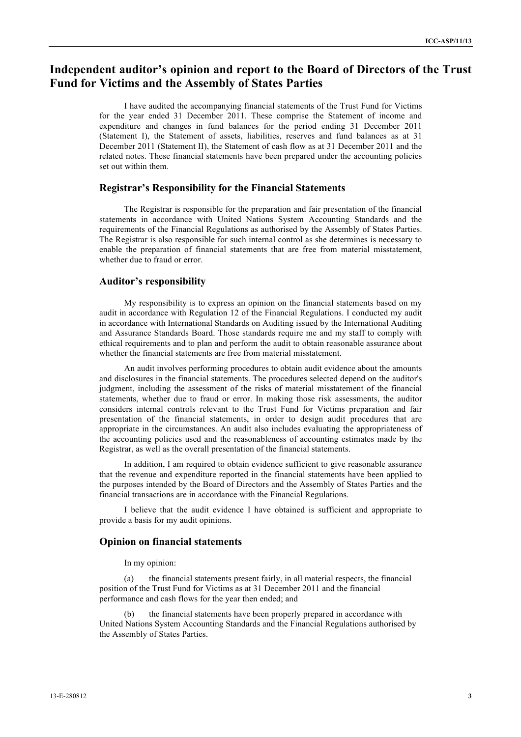## **Independent auditor's opinion and report to the Board of Directors of the Trust Fund for Victims and the Assembly of States Parties**

I have audited the accompanying financial statements of the Trust Fund for Victims for the year ended 31 December 2011. These comprise the Statement of income and expenditure and changes in fund balances for the period ending 31 December 2011 (Statement I), the Statement of assets, liabilities, reserves and fund balances as at 31 December 2011 (Statement II), the Statement of cash flow as at 31 December 2011 and the related notes. These financial statements have been prepared under the accounting policies set out within them.

#### **Registrar's Responsibility for the Financial Statements**

The Registrar is responsible for the preparation and fair presentation of the financial statements in accordance with United Nations System Accounting Standards and the requirements of the Financial Regulations as authorised by the Assembly of States Parties. The Registrar is also responsible for such internal control as she determines is necessary to enable the preparation of financial statements that are free from material misstatement, whether due to fraud or error.

#### **Auditor's responsibility**

My responsibility is to express an opinion on the financial statements based on my audit in accordance with Regulation 12 of the Financial Regulations. I conducted my audit in accordance with International Standards on Auditing issued by the International Auditing and Assurance Standards Board. Those standards require me and my staff to comply with ethical requirements and to plan and perform the audit to obtain reasonable assurance about whether the financial statements are free from material misstatement.

An audit involves performing procedures to obtain audit evidence about the amounts and disclosures in the financial statements. The procedures selected depend on the auditor's judgment, including the assessment of the risks of material misstatement of the financial statements, whether due to fraud or error. In making those risk assessments, the auditor considers internal controls relevant to the Trust Fund for Victims preparation and fair presentation of the financial statements, in order to design audit procedures that are appropriate in the circumstances. An audit also includes evaluating the appropriateness of the accounting policies used and the reasonableness of accounting estimates made by the Registrar, as well as the overall presentation of the financial statements.

In addition, I am required to obtain evidence sufficient to give reasonable assurance that the revenue and expenditure reported in the financial statements have been applied to the purposes intended by the Board of Directors and the Assembly of States Parties and the financial transactions are in accordance with the Financial Regulations.

I believe that the audit evidence I have obtained is sufficient and appropriate to provide a basis for my audit opinions.

#### **Opinion on financial statements**

In my opinion:

(a) the financial statements present fairly, in all material respects, the financial position of the Trust Fund for Victims as at 31 December 2011 and the financial performance and cash flows for the year then ended; and

(b) the financial statements have been properly prepared in accordance with United Nations System Accounting Standards and the Financial Regulations authorised by the Assembly of States Parties.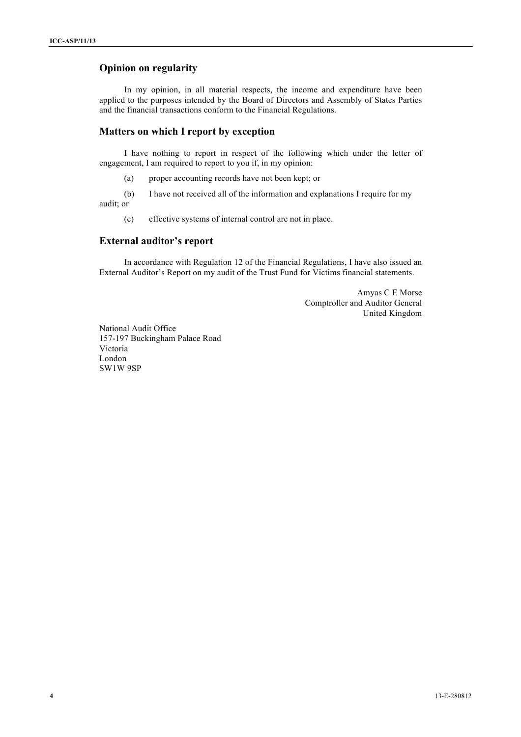#### **Opinion on regularity**

In my opinion, in all material respects, the income and expenditure have been applied to the purposes intended by the Board of Directors and Assembly of States Parties and the financial transactions conform to the Financial Regulations.

#### **Matters on which I report by exception**

I have nothing to report in respect of the following which under the letter of engagement, I am required to report to you if, in my opinion:

(a) proper accounting records have not been kept; or

(b) I have not received all of the information and explanations I require for my audit; or

(c) effective systems of internal control are not in place.

#### **External auditor's report**

In accordance with Regulation 12 of the Financial Regulations, I have also issued an External Auditor's Report on my audit of the Trust Fund for Victims financial statements.

> Amyas C E Morse Comptroller and Auditor General United Kingdom

National Audit Office 157-197 Buckingham Palace Road Victoria London SW1W 9SP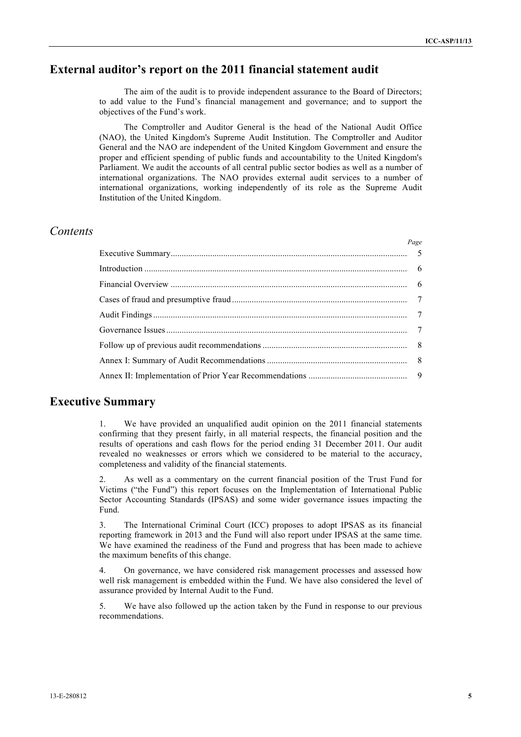## **External auditor's report on the 2011 financial statement audit**

The aim of the audit is to provide independent assurance to the Board of Directors; to add value to the Fund's financial management and governance; and to support the objectives of the Fund's work.

The Comptroller and Auditor General is the head of the National Audit Office (NAO), the United Kingdom's Supreme Audit Institution. The Comptroller and Auditor General and the NAO are independent of the United Kingdom Government and ensure the proper and efficient spending of public funds and accountability to the United Kingdom's Parliament. We audit the accounts of all central public sector bodies as well as a number of international organizations. The NAO provides external audit services to a number of international organizations, working independently of its role as the Supreme Audit Institution of the United Kingdom.

## *Contents*

| Page |
|------|
|      |
|      |
|      |
|      |
|      |
|      |
|      |
|      |
|      |

## **Executive Summary**

1. We have provided an unqualified audit opinion on the 2011 financial statements confirming that they present fairly, in all material respects, the financial position and the results of operations and cash flows for the period ending 31 December 2011. Our audit revealed no weaknesses or errors which we considered to be material to the accuracy, completeness and validity of the financial statements.

2. As well as a commentary on the current financial position of the Trust Fund for Victims ("the Fund") this report focuses on the Implementation of International Public Sector Accounting Standards (IPSAS) and some wider governance issues impacting the Fund.

3. The International Criminal Court (ICC) proposes to adopt IPSAS as its financial reporting framework in 2013 and the Fund will also report under IPSAS at the same time. We have examined the readiness of the Fund and progress that has been made to achieve the maximum benefits of this change.

4. On governance, we have considered risk management processes and assessed how well risk management is embedded within the Fund. We have also considered the level of assurance provided by Internal Audit to the Fund.

5. We have also followed up the action taken by the Fund in response to our previous recommendations.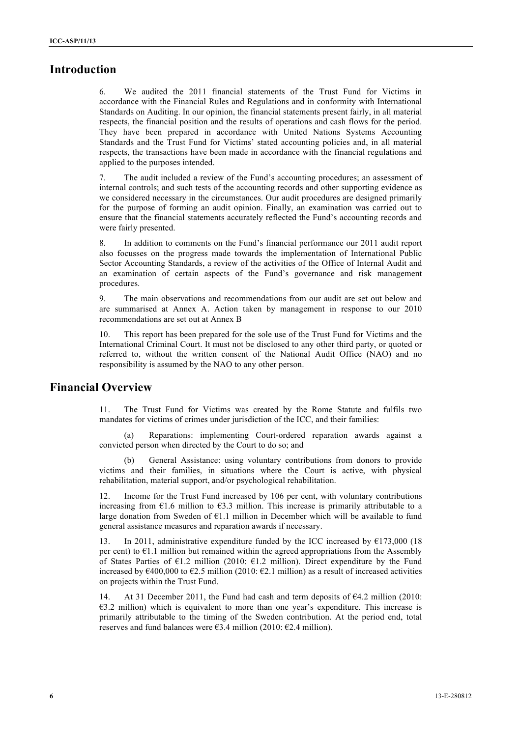## **Introduction**

6. We audited the 2011 financial statements of the Trust Fund for Victims in accordance with the Financial Rules and Regulations and in conformity with International Standards on Auditing. In our opinion, the financial statements present fairly, in all material respects, the financial position and the results of operations and cash flows for the period. They have been prepared in accordance with United Nations Systems Accounting Standards and the Trust Fund for Victims' stated accounting policies and, in all material respects, the transactions have been made in accordance with the financial regulations and applied to the purposes intended.

7. The audit included a review of the Fund's accounting procedures; an assessment of internal controls; and such tests of the accounting records and other supporting evidence as we considered necessary in the circumstances. Our audit procedures are designed primarily for the purpose of forming an audit opinion. Finally, an examination was carried out to ensure that the financial statements accurately reflected the Fund's accounting records and were fairly presented.

8. In addition to comments on the Fund's financial performance our 2011 audit report also focusses on the progress made towards the implementation of International Public Sector Accounting Standards, a review of the activities of the Office of Internal Audit and an examination of certain aspects of the Fund's governance and risk management procedures.

9. The main observations and recommendations from our audit are set out below and are summarised at Annex A. Action taken by management in response to our 2010 recommendations are set out at Annex B

10. This report has been prepared for the sole use of the Trust Fund for Victims and the International Criminal Court. It must not be disclosed to any other third party, or quoted or referred to, without the written consent of the National Audit Office (NAO) and no responsibility is assumed by the NAO to any other person.

## **Financial Overview**

11. The Trust Fund for Victims was created by the Rome Statute and fulfils two mandates for victims of crimes under jurisdiction of the ICC, and their families:

(a) Reparations: implementing Court-ordered reparation awards against a convicted person when directed by the Court to do so; and

(b) General Assistance: using voluntary contributions from donors to provide victims and their families, in situations where the Court is active, with physical rehabilitation, material support, and/or psychological rehabilitation.

12. Income for the Trust Fund increased by 106 per cent, with voluntary contributions increasing from  $\epsilon$ 1.6 million to  $\epsilon$ 3.3 million. This increase is primarily attributable to a large donation from Sweden of  $E1.1$  million in December which will be available to fund general assistance measures and reparation awards if necessary.

13. In 2011, administrative expenditure funded by the ICC increased by  $\epsilon$ 173,000 (18) per cent) to  $E1.1$  million but remained within the agreed appropriations from the Assembly of States Parties of  $E1.2$  million (2010:  $E1.2$  million). Direct expenditure by the Fund increased by  $\epsilon$ 400,000 to  $\epsilon$ 2.5 million (2010:  $\epsilon$ 2.1 million) as a result of increased activities on projects within the Trust Fund.

14. At 31 December 2011, the Fund had cash and term deposits of  $\epsilon$ 4.2 million (2010:  $€3.2$  million) which is equivalent to more than one year's expenditure. This increase is primarily attributable to the timing of the Sweden contribution. At the period end, total reserves and fund balances were  $\epsilon$ 3.4 million (2010:  $\epsilon$ 2.4 million).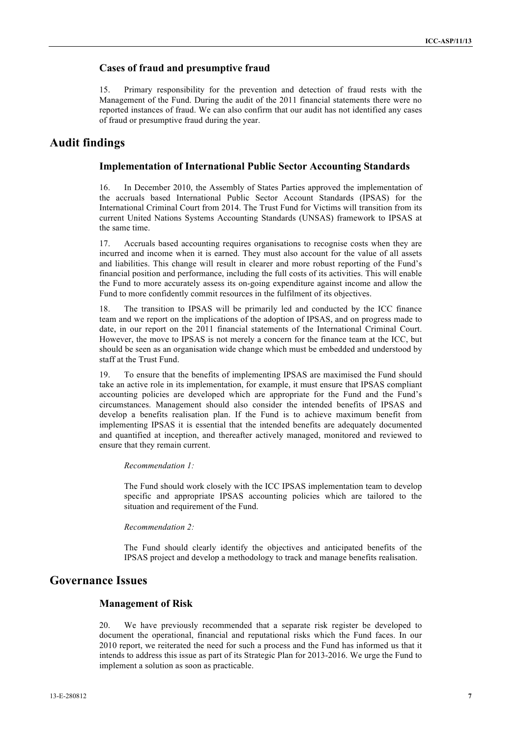#### **Cases of fraud and presumptive fraud**

15. Primary responsibility for the prevention and detection of fraud rests with the Management of the Fund. During the audit of the 2011 financial statements there were no reported instances of fraud. We can also confirm that our audit has not identified any cases of fraud or presumptive fraud during the year.

## **Audit findings**

#### **Implementation of International Public Sector Accounting Standards**

16. In December 2010, the Assembly of States Parties approved the implementation of the accruals based International Public Sector Account Standards (IPSAS) for the International Criminal Court from 2014. The Trust Fund for Victims will transition from its current United Nations Systems Accounting Standards (UNSAS) framework to IPSAS at the same time.

17. Accruals based accounting requires organisations to recognise costs when they are incurred and income when it is earned. They must also account for the value of all assets and liabilities. This change will result in clearer and more robust reporting of the Fund's financial position and performance, including the full costs of its activities. This will enable the Fund to more accurately assess its on-going expenditure against income and allow the Fund to more confidently commit resources in the fulfilment of its objectives.

18. The transition to IPSAS will be primarily led and conducted by the ICC finance team and we report on the implications of the adoption of IPSAS, and on progress made to date, in our report on the 2011 financial statements of the International Criminal Court. However, the move to IPSAS is not merely a concern for the finance team at the ICC, but should be seen as an organisation wide change which must be embedded and understood by staff at the Trust Fund.

19. To ensure that the benefits of implementing IPSAS are maximised the Fund should take an active role in its implementation, for example, it must ensure that IPSAS compliant accounting policies are developed which are appropriate for the Fund and the Fund's circumstances. Management should also consider the intended benefits of IPSAS and develop a benefits realisation plan. If the Fund is to achieve maximum benefit from implementing IPSAS it is essential that the intended benefits are adequately documented and quantified at inception, and thereafter actively managed, monitored and reviewed to ensure that they remain current.

#### *Recommendation 1:*

The Fund should work closely with the ICC IPSAS implementation team to develop specific and appropriate IPSAS accounting policies which are tailored to the situation and requirement of the Fund.

#### *Recommendation 2:*

The Fund should clearly identify the objectives and anticipated benefits of the IPSAS project and develop a methodology to track and manage benefits realisation.

## **Governance Issues**

#### **Management of Risk**

20. We have previously recommended that a separate risk register be developed to document the operational, financial and reputational risks which the Fund faces. In our 2010 report, we reiterated the need for such a process and the Fund has informed us that it intends to address this issue as part of its Strategic Plan for 2013-2016. We urge the Fund to implement a solution as soon as practicable.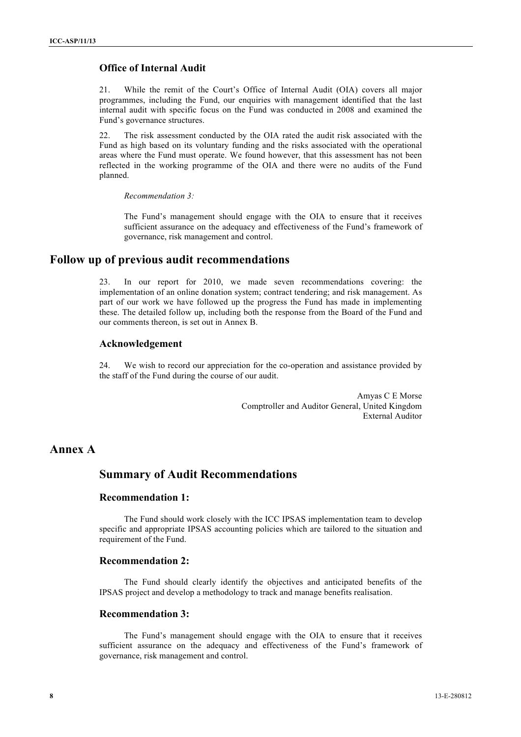### **Office of Internal Audit**

21. While the remit of the Court's Office of Internal Audit (OIA) covers all major programmes, including the Fund, our enquiries with management identified that the last internal audit with specific focus on the Fund was conducted in 2008 and examined the Fund's governance structures.

22. The risk assessment conducted by the OIA rated the audit risk associated with the Fund as high based on its voluntary funding and the risks associated with the operational areas where the Fund must operate. We found however, that this assessment has not been reflected in the working programme of the OIA and there were no audits of the Fund planned.

*Recommendation 3:*

The Fund's management should engage with the OIA to ensure that it receives sufficient assurance on the adequacy and effectiveness of the Fund's framework of governance, risk management and control.

### **Follow up of previous audit recommendations**

23. In our report for 2010, we made seven recommendations covering: the implementation of an online donation system; contract tendering; and risk management. As part of our work we have followed up the progress the Fund has made in implementing these. The detailed follow up, including both the response from the Board of the Fund and our comments thereon, is set out in Annex B.

#### **Acknowledgement**

24. We wish to record our appreciation for the co-operation and assistance provided by the staff of the Fund during the course of our audit.

> Amyas C E Morse Comptroller and Auditor General, United Kingdom External Auditor

## **Annex A**

## **Summary of Audit Recommendations**

### **Recommendation 1:**

The Fund should work closely with the ICC IPSAS implementation team to develop specific and appropriate IPSAS accounting policies which are tailored to the situation and requirement of the Fund.

#### **Recommendation 2:**

The Fund should clearly identify the objectives and anticipated benefits of the IPSAS project and develop a methodology to track and manage benefits realisation.

#### **Recommendation 3:**

The Fund's management should engage with the OIA to ensure that it receives sufficient assurance on the adequacy and effectiveness of the Fund's framework of governance, risk management and control.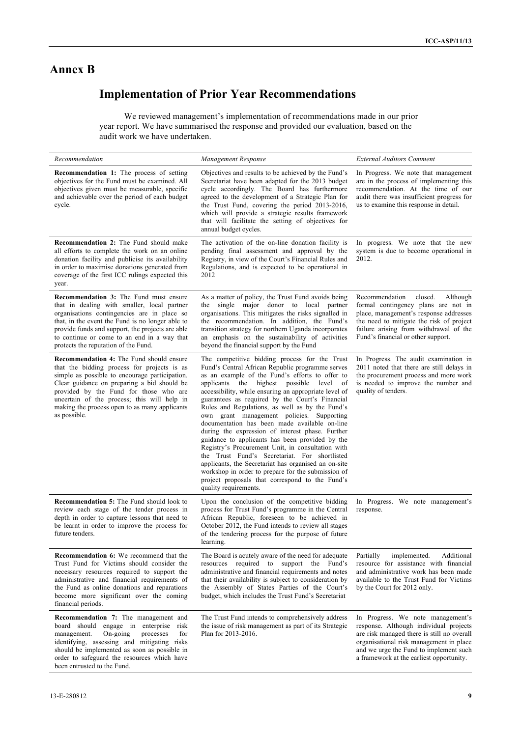# **Annex B**

# **Implementation of Prior Year Recommendations**

We reviewed management's implementation of recommendations made in our prior year report. We have summarised the response and provided our evaluation, based on the audit work we have undertaken.

| Recommendation                                                                                                                                                                                                                                                                                                                                            | Management Response                                                                                                                                                                                                                                                                                                                                                                                                                                                                                                                                                                                                                                                                                                                                                                                                                                                     | <b>External Auditors Comment</b>                                                                                                                                                                                                                           |
|-----------------------------------------------------------------------------------------------------------------------------------------------------------------------------------------------------------------------------------------------------------------------------------------------------------------------------------------------------------|-------------------------------------------------------------------------------------------------------------------------------------------------------------------------------------------------------------------------------------------------------------------------------------------------------------------------------------------------------------------------------------------------------------------------------------------------------------------------------------------------------------------------------------------------------------------------------------------------------------------------------------------------------------------------------------------------------------------------------------------------------------------------------------------------------------------------------------------------------------------------|------------------------------------------------------------------------------------------------------------------------------------------------------------------------------------------------------------------------------------------------------------|
| <b>Recommendation 1:</b> The process of setting<br>objectives for the Fund must be examined. All<br>objectives given must be measurable, specific<br>and achievable over the period of each budget<br>cycle.                                                                                                                                              | Objectives and results to be achieved by the Fund's<br>Secretariat have been adapted for the 2013 budget<br>cycle accordingly. The Board has furthermore<br>agreed to the development of a Strategic Plan for<br>the Trust Fund, covering the period 2013-2016,<br>which will provide a strategic results framework<br>that will facilitate the setting of objectives for<br>annual budget cycles.                                                                                                                                                                                                                                                                                                                                                                                                                                                                      | In Progress. We note that management<br>are in the process of implementing this<br>recommendation. At the time of our<br>audit there was insufficient progress for<br>us to examine this response in detail.                                               |
| Recommendation 2: The Fund should make<br>all efforts to complete the work on an online<br>donation facility and publicise its availability<br>in order to maximise donations generated from<br>coverage of the first ICC rulings expected this<br>year.                                                                                                  | The activation of the on-line donation facility is<br>pending final assessment and approval by the<br>Registry, in view of the Court's Financial Rules and<br>Regulations, and is expected to be operational in<br>2012                                                                                                                                                                                                                                                                                                                                                                                                                                                                                                                                                                                                                                                 | In progress. We note that the new<br>system is due to become operational in<br>2012.                                                                                                                                                                       |
| <b>Recommendation 3:</b> The Fund must ensure<br>that in dealing with smaller, local partner<br>organisations contingencies are in place so<br>that, in the event the Fund is no longer able to<br>provide funds and support, the projects are able<br>to continue or come to an end in a way that<br>protects the reputation of the Fund.                | As a matter of policy, the Trust Fund avoids being<br>the single major donor to local partner<br>organisations. This mitigates the risks signalled in<br>the recommendation. In addition, the Fund's<br>transition strategy for northern Uganda incorporates<br>an emphasis on the sustainability of activities<br>beyond the financial support by the Fund                                                                                                                                                                                                                                                                                                                                                                                                                                                                                                             | Recommendation<br>closed.<br>Although<br>formal contingency plans are not in<br>place, management's response addresses<br>the need to mitigate the risk of project<br>failure arising from withdrawal of the<br>Fund's financial or other support.         |
| <b>Recommendation 4:</b> The Fund should ensure<br>that the bidding process for projects is as<br>simple as possible to encourage participation.<br>Clear guidance on preparing a bid should be<br>provided by the Fund for those who are<br>uncertain of the process; this will help in<br>making the process open to as many applicants<br>as possible. | The competitive bidding process for the Trust<br>Fund's Central African Republic programme serves<br>as an example of the Fund's efforts to offer to<br>applicants the highest possible level<br>of<br>accessibility, while ensuring an appropriate level of<br>guarantees as required by the Court's Financial<br>Rules and Regulations, as well as by the Fund's<br>own grant management policies. Supporting<br>documentation has been made available on-line<br>during the expression of interest phase. Further<br>guidance to applicants has been provided by the<br>Registry's Procurement Unit, in consultation with<br>the Trust Fund's Secretariat. For shortlisted<br>applicants, the Secretariat has organised an on-site<br>workshop in order to prepare for the submission of<br>project proposals that correspond to the Fund's<br>quality requirements. | In Progress. The audit examination in<br>2011 noted that there are still delays in<br>the procurement process and more work<br>is needed to improve the number and<br>quality of tenders.                                                                  |
| Recommendation 5: The Fund should look to<br>review each stage of the tender process in<br>depth in order to capture lessons that need to<br>be learnt in order to improve the process for<br>future tenders.                                                                                                                                             | Upon the conclusion of the competitive bidding<br>process for Trust Fund's programme in the Central<br>African Republic, foreseen to be achieved in<br>October 2012, the Fund intends to review all stages<br>of the tendering process for the purpose of future<br>learning.                                                                                                                                                                                                                                                                                                                                                                                                                                                                                                                                                                                           | In Progress. We note management's<br>response.                                                                                                                                                                                                             |
| <b>Recommendation 6:</b> We recommend that the<br>Trust Fund for Victims should consider the<br>necessary resources required to support the<br>administrative and financial requirements of<br>the Fund as online donations and reparations<br>become more significant over the coming<br>financial periods.                                              | The Board is acutely aware of the need for adequate<br>resources required to support the Fund's<br>administrative and financial requirements and notes<br>that their availability is subject to consideration by<br>the Assembly of States Parties of the Court's<br>budget, which includes the Trust Fund's Secretariat                                                                                                                                                                                                                                                                                                                                                                                                                                                                                                                                                | Partially<br>implemented.<br>Additional<br>resource for assistance with financial<br>and administrative work has been made<br>available to the Trust Fund for Victims<br>by the Court for 2012 only.                                                       |
| Recommendation 7: The management and<br>board should engage in enterprise risk<br>On-going<br>processes<br>for<br>management.<br>identifying, assessing and mitigating risks<br>should be implemented as soon as possible in<br>order to safeguard the resources which have<br>been entrusted to the Fund.                                                | The Trust Fund intends to comprehensively address<br>the issue of risk management as part of its Strategic<br>Plan for 2013-2016.                                                                                                                                                                                                                                                                                                                                                                                                                                                                                                                                                                                                                                                                                                                                       | In Progress. We note management's<br>response. Although individual projects<br>are risk managed there is still no overall<br>organisational risk management in place<br>and we urge the Fund to implement such<br>a framework at the earliest opportunity. |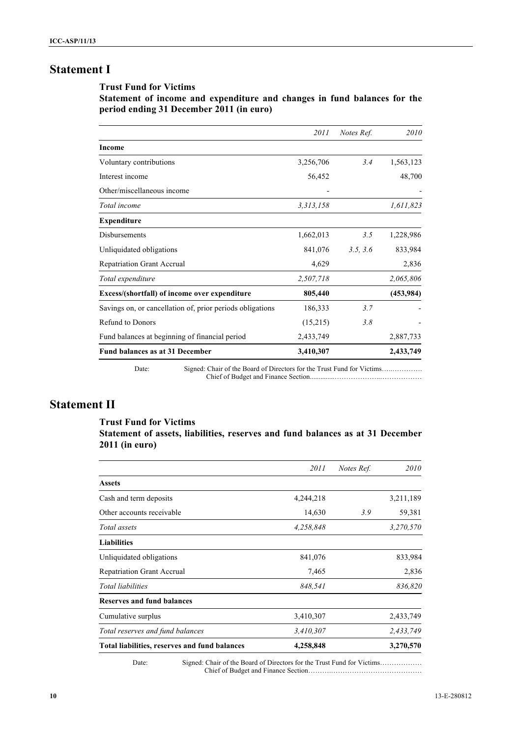# **Statement I**

#### **Trust Fund for Victims**

**Statement of income and expenditure and changes in fund balances for the period ending 31 December 2011 (in euro)**

|                                                                                  | <i>2011</i> | Notes Ref. | 2010       |
|----------------------------------------------------------------------------------|-------------|------------|------------|
| Income                                                                           |             |            |            |
| Voluntary contributions                                                          | 3,256,706   | 3.4        | 1,563,123  |
| Interest income                                                                  | 56,452      |            | 48,700     |
| Other/miscellaneous income                                                       |             |            |            |
| Total income                                                                     | 3,313,158   |            | 1,611,823  |
| <b>Expenditure</b>                                                               |             |            |            |
| Disbursements                                                                    | 1,662,013   | 3.5        | 1,228,986  |
| Unliquidated obligations                                                         | 841,076     | 3.5, 3.6   | 833,984    |
| <b>Repatriation Grant Accrual</b>                                                | 4,629       |            | 2,836      |
| Total expenditure                                                                | 2,507,718   |            | 2,065,806  |
| Excess/(shortfall) of income over expenditure                                    | 805,440     |            | (453, 984) |
| Savings on, or cancellation of, prior periods obligations                        | 186,333     | 3.7        |            |
| Refund to Donors                                                                 | (15,215)    | 3.8        |            |
| Fund balances at beginning of financial period                                   | 2,433,749   |            | 2,887,733  |
| Fund balances as at 31 December                                                  | 3,410,307   |            | 2,433,749  |
| Signed: Chair of the Board of Directors for the Trust Fund for Victims.<br>Date: |             |            |            |

Chief of Budget and Finance Section..............………………..………………

# **Statement II**

#### **Trust Fund for Victims**

**Statement of assets, liabilities, reserves and fund balances as at 31 December 2011 (in euro)**

|                                               | 2011      | Notes Ref. | 2010      |
|-----------------------------------------------|-----------|------------|-----------|
| <b>Assets</b>                                 |           |            |           |
| Cash and term deposits                        | 4,244,218 |            | 3,211,189 |
| Other accounts receivable                     | 14,630    | 3.9        | 59,381    |
| Total assets                                  | 4,258,848 |            | 3,270,570 |
| <b>Liabilities</b>                            |           |            |           |
| Unliquidated obligations                      | 841,076   |            | 833,984   |
| <b>Repatriation Grant Accrual</b>             | 7,465     |            | 2,836     |
| Total liabilities                             | 848,541   |            | 836,820   |
| <b>Reserves and fund balances</b>             |           |            |           |
| Cumulative surplus                            | 3,410,307 |            | 2,433,749 |
| Total reserves and fund balances              | 3,410,307 |            | 2,433,749 |
| Total liabilities, reserves and fund balances | 4,258,848 |            | 3,270,570 |

Date: Signed: Chair of the Board of Directors for the Trust Fund for Victims…………… Chief of Budget and Finance Section……….…………………………………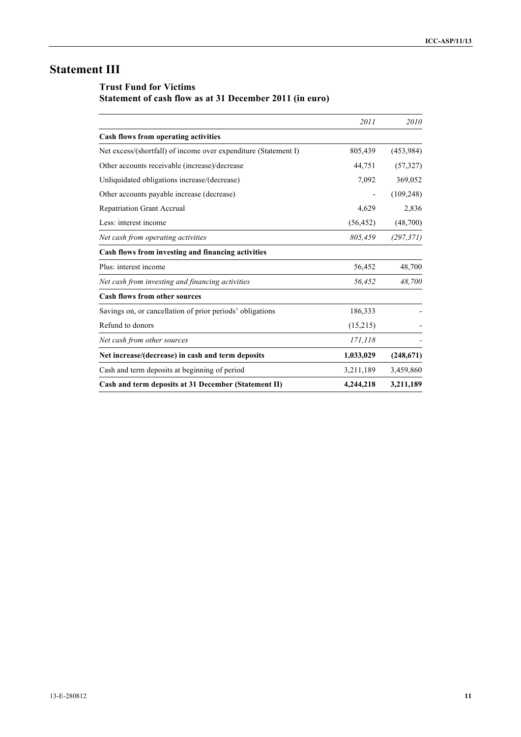# **Statement III**

# **Trust Fund for Victims**

# **Statement of cash flow as at 31 December 2011 (in euro)**

|                                                                 | 2011      | 2010       |
|-----------------------------------------------------------------|-----------|------------|
| Cash flows from operating activities                            |           |            |
| Net excess/(shortfall) of income over expenditure (Statement I) | 805,439   | (453, 984) |
| Other accounts receivable (increase)/decrease                   | 44,751    | (57, 327)  |
| Unliquidated obligations increase/(decrease)                    | 7,092     | 369,052    |
| Other accounts payable increase (decrease)                      | -         | (109, 248) |
| <b>Repatriation Grant Accrual</b>                               | 4,629     | 2,836      |
| Less: interest income                                           | (56, 452) | (48,700)   |
| Net cash from operating activities                              | 805,459   | (297, 371) |
| Cash flows from investing and financing activities              |           |            |
| Plus: interest income                                           | 56,452    | 48,700     |
| Net cash from investing and financing activities                | 56,452    | 48,700     |
| Cash flows from other sources                                   |           |            |
| Savings on, or cancellation of prior periods' obligations       | 186,333   |            |
| Refund to donors                                                | (15,215)  |            |
| Net cash from other sources                                     | 171,118   |            |
| Net increase/(decrease) in cash and term deposits               | 1,033,029 | (248, 671) |
| Cash and term deposits at beginning of period                   | 3,211,189 | 3,459,860  |
| Cash and term deposits at 31 December (Statement II)            | 4,244,218 | 3,211,189  |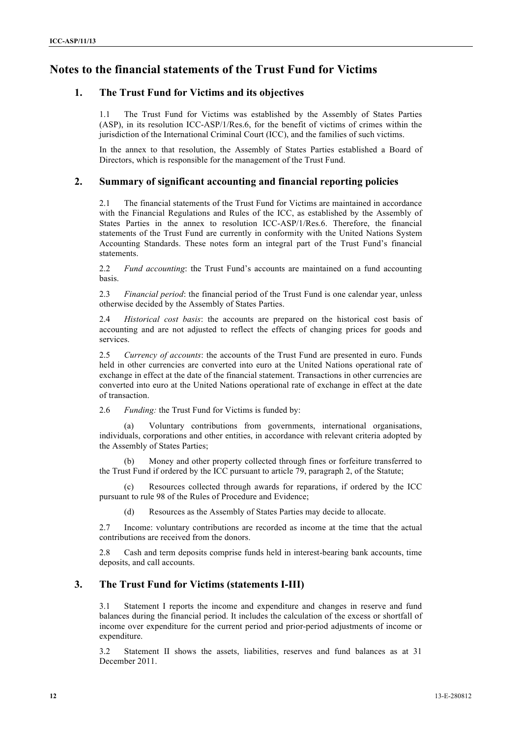# **Notes to the financial statements of the Trust Fund for Victims**

## **1. The Trust Fund for Victims and its objectives**

1.1 The Trust Fund for Victims was established by the Assembly of States Parties (ASP), in its resolution ICC-ASP/1/Res.6, for the benefit of victims of crimes within the jurisdiction of the International Criminal Court (ICC), and the families of such victims.

In the annex to that resolution, the Assembly of States Parties established a Board of Directors, which is responsible for the management of the Trust Fund.

#### **2. Summary of significant accounting and financial reporting policies**

2.1 The financial statements of the Trust Fund for Victims are maintained in accordance with the Financial Regulations and Rules of the ICC, as established by the Assembly of States Parties in the annex to resolution ICC-ASP/1/Res.6. Therefore, the financial statements of the Trust Fund are currently in conformity with the United Nations System Accounting Standards. These notes form an integral part of the Trust Fund's financial statements.

2.2 *Fund accounting*: the Trust Fund's accounts are maintained on a fund accounting basis.

2.3 *Financial period*: the financial period of the Trust Fund is one calendar year, unless otherwise decided by the Assembly of States Parties.

2.4 *Historical cost basis*: the accounts are prepared on the historical cost basis of accounting and are not adjusted to reflect the effects of changing prices for goods and services.

2.5 *Currency of accounts*: the accounts of the Trust Fund are presented in euro. Funds held in other currencies are converted into euro at the United Nations operational rate of exchange in effect at the date of the financial statement. Transactions in other currencies are converted into euro at the United Nations operational rate of exchange in effect at the date of transaction.

2.6 *Funding:* the Trust Fund for Victims is funded by:

(a) Voluntary contributions from governments, international organisations, individuals, corporations and other entities, in accordance with relevant criteria adopted by the Assembly of States Parties;

(b) Money and other property collected through fines or forfeiture transferred to the Trust Fund if ordered by the ICC pursuant to article 79, paragraph 2, of the Statute;

Resources collected through awards for reparations, if ordered by the ICC pursuant to rule 98 of the Rules of Procedure and Evidence;

(d) Resources as the Assembly of States Parties may decide to allocate.

2.7 Income: voluntary contributions are recorded as income at the time that the actual contributions are received from the donors.

2.8 Cash and term deposits comprise funds held in interest-bearing bank accounts, time deposits, and call accounts.

#### **3. The Trust Fund for Victims (statements I-III)**

3.1 Statement I reports the income and expenditure and changes in reserve and fund balances during the financial period. It includes the calculation of the excess or shortfall of income over expenditure for the current period and prior-period adjustments of income or expenditure.

3.2 Statement II shows the assets, liabilities, reserves and fund balances as at 31 December 2011.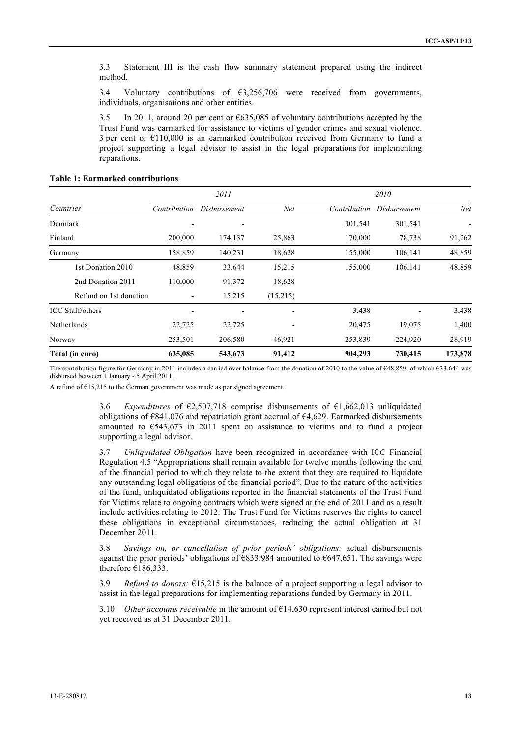3.3 Statement III is the cash flow summary statement prepared using the indirect method.

3.4 Voluntary contributions of €3,256,706 were received from governments, individuals, organisations and other entities.

3.5 In 2011, around 20 per cent or €635,085 of voluntary contributions accepted by the Trust Fund was earmarked for assistance to victims of gender crimes and sexual violence. 3 per cent or €110,000 is an earmarked contribution received from Germany to fund a project supporting a legal advisor to assist in the legal preparations for implementing reparations.

|                         | 2011         |              | 2010           |              |              |         |
|-------------------------|--------------|--------------|----------------|--------------|--------------|---------|
| Countries               | Contribution | Disbursement | Net            | Contribution | Disbursement | Net     |
| Denmark                 |              |              |                | 301,541      | 301,541      |         |
| Finland                 | 200,000      | 174,137      | 25,863         | 170,000      | 78,738       | 91,262  |
| Germany                 | 158,859      | 140,231      | 18,628         | 155,000      | 106,141      | 48,859  |
| 1st Donation 2010       | 48,859       | 33,644       | 15,215         | 155,000      | 106,141      | 48,859  |
| 2nd Donation 2011       | 110,000      | 91,372       | 18,628         |              |              |         |
| Refund on 1st donation  |              | 15,215       | (15,215)       |              |              |         |
| <b>ICC</b> Staff/others |              |              | $\blacksquare$ | 3,438        |              | 3,438   |
| Netherlands             | 22,725       | 22,725       |                | 20,475       | 19,075       | 1,400   |
| Norway                  | 253,501      | 206,580      | 46,921         | 253,839      | 224,920      | 28,919  |
| Total (in euro)         | 635,085      | 543,673      | 91,412         | 904,293      | 730,415      | 173,878 |

#### **Table 1: Earmarked contributions**

The contribution figure for Germany in 2011 includes a carried over balance from the donation of 2010 to the value of €48,859, of which €33,644 was disbursed between 1 January - 5 April 2011.

A refund of €15,215 to the German government was made as per signed agreement.

3.6 *Expenditures* of €2,507,718 comprise disbursements of €1,662,013 unliquidated obligations of  $\epsilon$ 841,076 and repatriation grant accrual of  $\epsilon$ 4,629. Earmarked disbursements amounted to €543,673 in 2011 spent on assistance to victims and to fund a project supporting a legal advisor.

3.7 *Unliquidated Obligation* have been recognized in accordance with ICC Financial Regulation 4.5 "Appropriations shall remain available for twelve months following the end of the financial period to which they relate to the extent that they are required to liquidate any outstanding legal obligations of the financial period". Due to the nature of the activities of the fund, unliquidated obligations reported in the financial statements of the Trust Fund for Victims relate to ongoing contracts which were signed at the end of 2011 and as a result include activities relating to 2012. The Trust Fund for Victims reserves the rights to cancel these obligations in exceptional circumstances, reducing the actual obligation at 31 December 2011.

3.8 *Savings on, or cancellation of prior periods' obligations:* actual disbursements against the prior periods' obligations of  $\epsilon$ 833,984 amounted to  $\epsilon$ 647,651. The savings were therefore  $€186,333$ .

3.9 *Refund to donors:* €15,215 is the balance of a project supporting a legal advisor to assist in the legal preparations for implementing reparations funded by Germany in 2011.

3.10 *Other accounts receivable* in the amount of €14,630 represent interest earned but not yet received as at 31 December 2011.